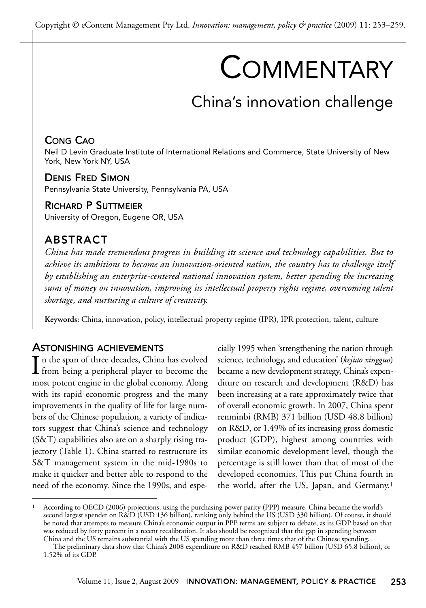# **COMMENTARY**

## China's innovation challenge

## CONG CAO

Neil D Levin Graduate Institute of International Relations and Commerce, State University of New York, New York NY, USA

#### DENIS FRED SIMON

Pennsylvania State University, Pennsylvania PA, USA

#### RICHARD P SUTTMEIER

University of Oregon, Eugene OR, USA

## ABSTRACT

*China has made tremendous progress in building its science and technology capabilities. But to achieve its ambitions to become an innovation-oriented nation, the country has to challenge itself by establishing an enterprise-centered national innovation system, better spending the increasing sums of money on innovation, improving its intellectual property rights regime, overcoming talent shortage, and nurturing a culture of creativity.*

**Keywords:** China, innovation, policy, intellectual property regime (IPR), IPR protection, talent, culture

### ASTONISHING ACHIEVEMENTS

In the span of three decades, China has evolved<br>from being a peripheral player to become the In the span of three decades, China has evolved most potent engine in the global economy. Along with its rapid economic progress and the many improvements in the quality of life for large numbers of the Chinese population, a variety of indicators suggest that China's science and technology (S&T) capabilities also are on a sharply rising trajectory (Table 1). China started to restructure its S&T management system in the mid-1980s to make it quicker and better able to respond to the need of the economy. Since the 1990s, and especially 1995 when 'strengthening the nation through science, technology, and education' (*kejiao xingguo*) became a new development strategy, China's expenditure on research and development (R&D) has been increasing at a rate approximately twice that of overall economic growth. In 2007, China spent renminbi (RMB) 371 billion (USD 48.8 billion) on R&D, or 1.49% of its increasing gross domestic product (GDP), highest among countries with similar economic development level, though the percentage is still lower than that of most of the developed economies. This put China fourth in the world, after the US, Japan, and Germany.1

<sup>1</sup> According to OECD (2006) projections, using the purchasing power parity (PPP) measure, China became the world's second largest spender on R&D (USD 136 billion), ranking only behind the US (USD 330 billion). Of course, it should be noted that attempts to measure China's economic output in PPP terms are subject to debate, as its GDP based on that was reduced by forty percent in a recent recalibration. It also should be recognized that the gap in spending between China and the US remains substantial with the US spending more than three times that of the Chinese spending.

The preliminary data show that China's 2008 expenditure on R&D reached RMB 457 billion (USD 65.8 billion), or 1.52% of its GDP.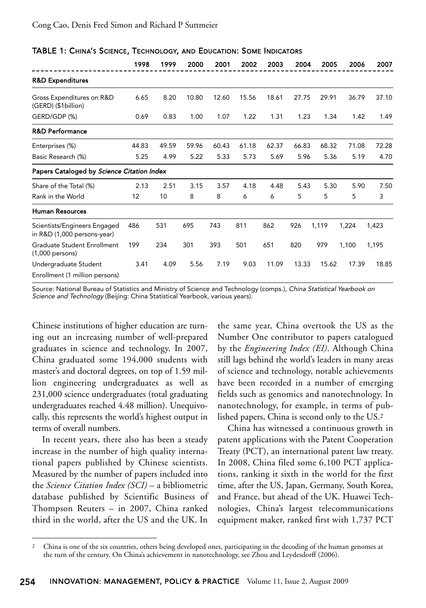|                                                             | 1998  | 1999  | 2000  | 2001  | 2002  | 2003  | 2004  | 2005  | 2006  | 2007  |
|-------------------------------------------------------------|-------|-------|-------|-------|-------|-------|-------|-------|-------|-------|
| <b>R&amp;D Expenditures</b>                                 |       |       |       |       |       |       |       |       |       |       |
| Gross Expenditures on R&D<br>(GERD) (\$1billion)            | 6.65  | 8.20  | 10.80 | 12.60 | 15.56 | 18.61 | 27.75 | 29.91 | 36.79 | 37.10 |
| GERD/GDP (%)                                                | 0.69  | 0.83  | 1.00  | 1.07  | 1.22  | 1.31  | 1.23  | 1.34  | 1.42  | 1.49  |
| <b>R&amp;D Performance</b>                                  |       |       |       |       |       |       |       |       |       |       |
| Enterprises (%)                                             | 44.83 | 49.59 | 59.96 | 60.43 | 61.18 | 62.37 | 66.83 | 68.32 | 71.08 | 72.28 |
| Basic Research (%)                                          | 5.25  | 4.99  | 5.22  | 5.33  | 5.73  | 5.69  | 5.96  | 5.36  | 5.19  | 4.70  |
| Papers Cataloged by Science Citation Index                  |       |       |       |       |       |       |       |       |       |       |
| Share of the Total (%)                                      | 2.13  | 2.51  | 3.15  | 3.57  | 4.18  | 4.48  | 5.43  | 5.30  | 5.90  | 7.50  |
| Rank in the World                                           | 12    | 10    | 8     | 8     | 6     | 6     | 5     | 5     | 5     | 3     |
| <b>Human Resources</b>                                      |       |       |       |       |       |       |       |       |       |       |
| Scientists/Engineers Engaged<br>in R&D (1,000 persons-year) | 486   | 531   | 695   | 743   | 811   | 862   | 926   | 1,119 | 1,224 | 1,423 |
| <b>Graduate Student Enrollment</b><br>$(1,000$ persons)     | 199   | 234   | 301   | 393   | 501   | 651   | 820   | 979   | 1,100 | 1,195 |
| Undergraduate Student                                       | 3.41  | 4.09  | 5.56  | 7.19  | 9.03  | 11.09 | 13.33 | 15.62 | 17.39 | 18.85 |
| Enrollment (1 million persons)                              |       |       |       |       |       |       |       |       |       |       |

#### TABLE 1: CHINA'S SCIENCE, TECHNOLOGY, AND EDUCATION: SOME INDICATORS

Source: National Bureau of Statistics and Ministry of Science and Technology (comps.), China Statistical Yearbook on Science and Technology (Beijing: China Statistical Yearbook, various years).

Chinese institutions of higher education are turning out an increasing number of well-prepared graduates in science and technology. In 2007, China graduated some 194,000 students with master's and doctoral degrees, on top of 1.59 million engineering undergraduates as well as 231,000 science undergraduates (total graduating undergraduates reached 4.48 million). Unequivocally, this represents the world's highest output in terms of overall numbers.

In recent years, there also has been a steady increase in the number of high quality international papers published by Chinese scientists. Measured by the number of papers included into the *Science Citation Index (SCI)* – a bibliometric database published by Scientific Business of Thompson Reuters – in 2007, China ranked third in the world, after the US and the UK. In

the same year, China overtook the US as the Number One contributor to papers catalogued by the *Engineering Index (EI)*. Although China still lags behind the world's leaders in many areas of science and technology, notable achievements have been recorded in a number of emerging fields such as genomics and nanotechnology. In nanotechnology, for example, in terms of published papers, China is second only to the US.2

China has witnessed a continuous growth in patent applications with the Patent Cooperation Treaty (PCT), an international patent law treaty. In 2008, China filed some 6,100 PCT applications, ranking it sixth in the world for the first time, after the US, Japan, Germany, South Korea, and France, but ahead of the UK. Huawei Technologies, China's largest telecommunications equipment maker, ranked first with 1,737 PCT

<sup>&</sup>lt;sup>2</sup> China is one of the six countries, others being developed ones, participating in the decoding of the human genomes at the turn of the century. On China's achievement in nanotechnology, see Zhou and Leydesdorff (2006).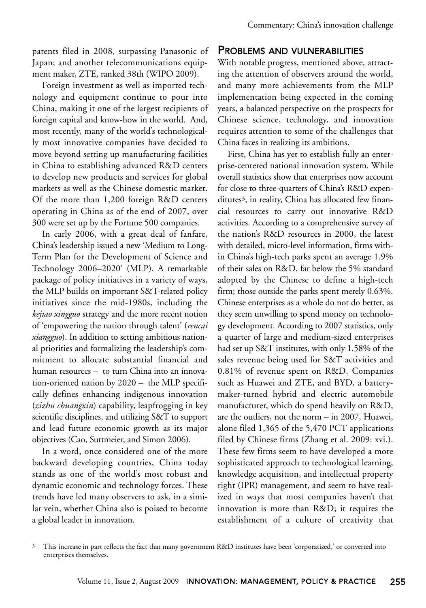patents filed in 2008, surpassing Panasonic of Japan; and another telecommunications equipment maker, ZTE, ranked 38th (WIPO 2009).

Foreign investment as well as imported technology and equipment continue to pour into China, making it one of the largest recipients of foreign capital and know-how in the world. And, most recently, many of the world's technologically most innovative companies have decided to move beyond setting up manufacturing facilities in China to establishing advanced R&D centers to develop new products and services for global markets as well as the Chinese domestic market. Of the more than 1,200 foreign R&D centers operating in China as of the end of 2007, over 300 were set up by the Fortune 500 companies.

In early 2006, with a great deal of fanfare, China's leadership issued a new 'Medium to Long-Term Plan for the Development of Science and Technology 2006–2020' (MLP). A remarkable package of policy initiatives in a variety of ways, the MLP builds on important S&T-related policy initiatives since the mid-1980s, including the *kejiao xingguo* strategy and the more recent notion of 'empowering the nation through talent' (*rencai xiangguo*). In addition to setting ambitious national priorities and formalizing the leadership's commitment to allocate substantial financial and human resources – to turn China into an innovation-oriented nation by 2020 – the MLP specifically defines enhancing indigenous innovation (*zizhu chuangxin*) capability, leapfrogging in key scientific disciplines, and utilizing S&T to support and lead future economic growth as its major objectives (Cao, Suttmeier, and Simon 2006).

In a word, once considered one of the more backward developing countries, China today stands as one of the world's most robust and dynamic economic and technology forces. These trends have led many observers to ask, in a similar vein, whether China also is poised to become a global leader in innovation.

#### PROBLEMS AND VULNERABILITIES

With notable progress, mentioned above, attracting the attention of observers around the world, and many more achievements from the MLP implementation being expected in the coming years, a balanced perspective on the prospects for Chinese science, technology, and innovation requires attention to some of the challenges that China faces in realizing its ambitions.

First, China has yet to establish fully an enterprise-centered national innovation system. While overall statistics show that enterprises now account for close to three-quarters of China's R&D expenditures<sup>3</sup>, in reality, China has allocated few financial resources to carry out innovative R&D activities. According to a comprehensive survey of the nation's R&D resources in 2000, the latest with detailed, micro-level information, firms within China's high-tech parks spent an average 1.9% of their sales on R&D, far below the 5% standard adopted by the Chinese to define a high-tech firm; those outside the parks spent merely 0.63%. Chinese enterprises as a whole do not do better, as they seem unwilling to spend money on technology development. According to 2007 statistics, only a quarter of large and medium-sized enterprises had set up S&T institutes, with only 1.58% of the sales revenue being used for S&T activities and 0.81% of revenue spent on R&D. Companies such as Huawei and ZTE, and BYD, a batterymaker-turned hybrid and electric automobile manufacturer, which do spend heavily on R&D, are the outliers, not the norm – in 2007, Huawei, alone filed 1,365 of the 5,470 PCT applications filed by Chinese firms (Zhang et al. 2009: xvi.). These few firms seem to have developed a more sophisticated approach to technological learning, knowledge acquisition, and intellectual property right (IPR) management, and seem to have realized in ways that most companies haven't that innovation is more than R&D; it requires the establishment of a culture of creativity that

<sup>3</sup> This increase in part reflects the fact that many government R&D institutes have been 'corporatized,' or converted into enterprises themselves.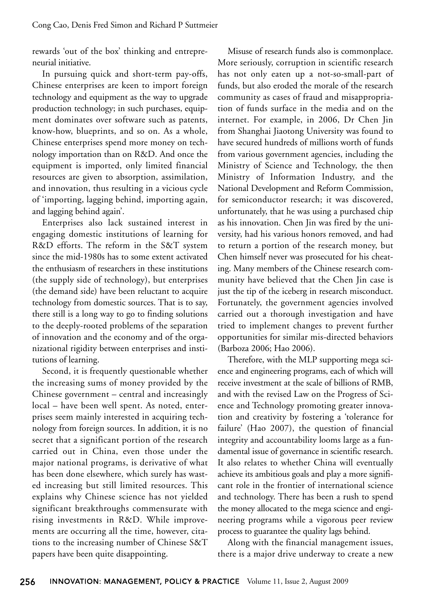rewards 'out of the box' thinking and entrepreneurial initiative.

In pursuing quick and short-term pay-offs, Chinese enterprises are keen to import foreign technology and equipment as the way to upgrade production technology; in such purchases, equipment dominates over software such as patents, know-how, blueprints, and so on. As a whole, Chinese enterprises spend more money on technology importation than on R&D. And once the equipment is imported, only limited financial resources are given to absorption, assimilation, and innovation, thus resulting in a vicious cycle of 'importing, lagging behind, importing again, and lagging behind again'.

Enterprises also lack sustained interest in engaging domestic institutions of learning for R&D efforts. The reform in the S&T system since the mid-1980s has to some extent activated the enthusiasm of researchers in these institutions (the supply side of technology), but enterprises (the demand side) have been reluctant to acquire technology from domestic sources. That is to say, there still is a long way to go to finding solutions to the deeply-rooted problems of the separation of innovation and the economy and of the organizational rigidity between enterprises and institutions of learning.

Second, it is frequently questionable whether the increasing sums of money provided by the Chinese government – central and increasingly local – have been well spent. As noted, enterprises seem mainly interested in acquiring technology from foreign sources. In addition, it is no secret that a significant portion of the research carried out in China, even those under the major national programs, is derivative of what has been done elsewhere, which surely has wasted increasing but still limited resources. This explains why Chinese science has not yielded significant breakthroughs commensurate with rising investments in R&D. While improvements are occurring all the time, however, citations to the increasing number of Chinese S&T papers have been quite disappointing.

Misuse of research funds also is commonplace. More seriously, corruption in scientific research has not only eaten up a not-so-small-part of funds, but also eroded the morale of the research community as cases of fraud and misappropriation of funds surface in the media and on the internet. For example, in 2006, Dr Chen Jin from Shanghai Jiaotong University was found to have secured hundreds of millions worth of funds from various government agencies, including the Ministry of Science and Technology, the then Ministry of Information Industry, and the National Development and Reform Commission, for semiconductor research; it was discovered, unfortunately, that he was using a purchased chip as his innovation. Chen Jin was fired by the university, had his various honors removed, and had to return a portion of the research money, but Chen himself never was prosecuted for his cheating. Many members of the Chinese research community have believed that the Chen Jin case is just the tip of the iceberg in research misconduct. Fortunately, the government agencies involved carried out a thorough investigation and have tried to implement changes to prevent further opportunities for similar mis-directed behaviors (Barboza 2006; Hao 2006).

Therefore, with the MLP supporting mega science and engineering programs, each of which will receive investment at the scale of billions of RMB, and with the revised Law on the Progress of Science and Technology promoting greater innovation and creativity by fostering a 'tolerance for failure' (Hao 2007), the question of financial integrity and accountability looms large as a fundamental issue of governance in scientific research. It also relates to whether China will eventually achieve its ambitious goals and play a more significant role in the frontier of international science and technology. There has been a rush to spend the money allocated to the mega science and engineering programs while a vigorous peer review process to guarantee the quality lags behind.

Along with the financial management issues, there is a major drive underway to create a new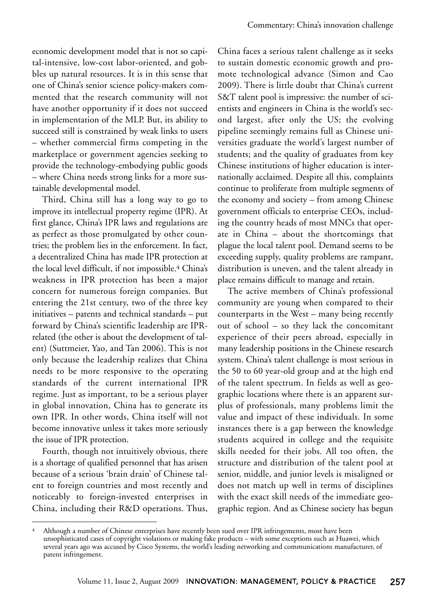economic development model that is not so capital-intensive, low-cost labor-oriented, and gobbles up natural resources. It is in this sense that one of China's senior science policy-makers commented that the research community will not have another opportunity if it does not succeed in implementation of the MLP. But, its ability to succeed still is constrained by weak links to users – whether commercial firms competing in the marketplace or government agencies seeking to provide the technology-embodying public goods – where China needs strong links for a more sustainable developmental model.

Third, China still has a long way to go to improve its intellectual property regime (IPR). At first glance, China's IPR laws and regulations are as perfect as those promulgated by other countries; the problem lies in the enforcement. In fact, a decentralized China has made IPR protection at the local level difficult, if not impossible.4 China's weakness in IPR protection has been a major concern for numerous foreign companies. But entering the 21st century, two of the three key initiatives – patents and technical standards – put forward by China's scientific leadership are IPRrelated (the other is about the development of talent) (Suttmeier, Yao, and Tan 2006). This is not only because the leadership realizes that China needs to be more responsive to the operating standards of the current international IPR regime. Just as important, to be a serious player in global innovation, China has to generate its own IPR. In other words, China itself will not become innovative unless it takes more seriously the issue of IPR protection.

Fourth, though not intuitively obvious, there is a shortage of qualified personnel that has arisen because of a serious 'brain drain' of Chinese talent to foreign countries and most recently and noticeably to foreign-invested enterprises in China, including their R&D operations. Thus, China faces a serious talent challenge as it seeks to sustain domestic economic growth and promote technological advance (Simon and Cao 2009). There is little doubt that China's current S&T talent pool is impressive: the number of scientists and engineers in China is the world's second largest, after only the US; the evolving pipeline seemingly remains full as Chinese universities graduate the world's largest number of students; and the quality of graduates from key Chinese institutions of higher education is internationally acclaimed. Despite all this, complaints continue to proliferate from multiple segments of the economy and society – from among Chinese government officials to enterprise CEOs, including the country heads of most MNCs that operate in China – about the shortcomings that plague the local talent pool. Demand seems to be exceeding supply, quality problems are rampant, distribution is uneven, and the talent already in place remains difficult to manage and retain.

The active members of China's professional community are young when compared to their counterparts in the West – many being recently out of school – so they lack the concomitant experience of their peers abroad, especially in many leadership positions in the Chinese research system. China's talent challenge is most serious in the 50 to 60 year-old group and at the high end of the talent spectrum. In fields as well as geographic locations where there is an apparent surplus of professionals, many problems limit the value and impact of these individuals. In some instances there is a gap between the knowledge students acquired in college and the requisite skills needed for their jobs. All too often, the structure and distribution of the talent pool at senior, middle, and junior levels is misaligned or does not match up well in terms of disciplines with the exact skill needs of the immediate geographic region. And as Chinese society has begun

<sup>4</sup> Although a number of Chinese enterprises have recently been sued over IPR infringements, most have been unsophisticated cases of copyright violations or making fake products – with some exceptions such as Huawei, which several years ago was accused by Cisco Systems, the world's leading networking and communications manufacturer, of patent infringement.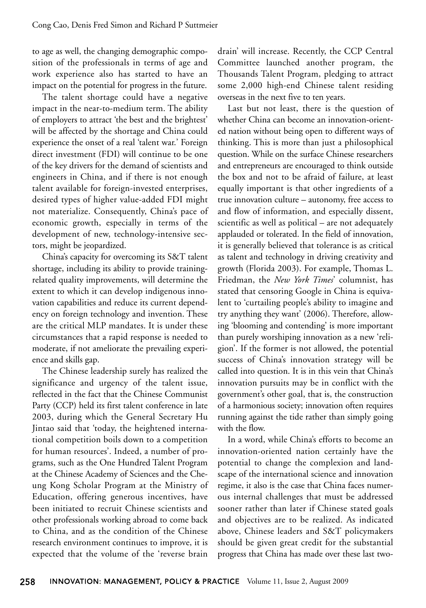to age as well, the changing demographic composition of the professionals in terms of age and work experience also has started to have an impact on the potential for progress in the future.

The talent shortage could have a negative impact in the near-to-medium term. The ability of employers to attract 'the best and the brightest' will be affected by the shortage and China could experience the onset of a real 'talent war.' Foreign direct investment (FDI) will continue to be one of the key drivers for the demand of scientists and engineers in China, and if there is not enough talent available for foreign-invested enterprises, desired types of higher value-added FDI might not materialize. Consequently, China's pace of economic growth, especially in terms of the development of new, technology-intensive sectors, might be jeopardized.

China's capacity for overcoming its S&T talent shortage, including its ability to provide trainingrelated quality improvements, will determine the extent to which it can develop indigenous innovation capabilities and reduce its current dependency on foreign technology and invention. These are the critical MLP mandates. It is under these circumstances that a rapid response is needed to moderate, if not ameliorate the prevailing experience and skills gap.

The Chinese leadership surely has realized the significance and urgency of the talent issue, reflected in the fact that the Chinese Communist Party (CCP) held its first talent conference in late 2003, during which the General Secretary Hu Jintao said that 'today, the heightened international competition boils down to a competition for human resources'. Indeed, a number of programs, such as the One Hundred Talent Program at the Chinese Academy of Sciences and the Cheung Kong Scholar Program at the Ministry of Education, offering generous incentives, have been initiated to recruit Chinese scientists and other professionals working abroad to come back to China, and as the condition of the Chinese research environment continues to improve, it is expected that the volume of the 'reverse brain

drain' will increase. Recently, the CCP Central Committee launched another program, the Thousands Talent Program, pledging to attract some 2,000 high-end Chinese talent residing overseas in the next five to ten years.

Last but not least, there is the question of whether China can become an innovation-oriented nation without being open to different ways of thinking. This is more than just a philosophical question. While on the surface Chinese researchers and entrepreneurs are encouraged to think outside the box and not to be afraid of failure, at least equally important is that other ingredients of a true innovation culture – autonomy, free access to and flow of information, and especially dissent, scientific as well as political – are not adequately applauded or tolerated. In the field of innovation, it is generally believed that tolerance is as critical as talent and technology in driving creativity and growth (Florida 2003). For example, Thomas L. Friedman, the *New York Times*' columnist, has stated that censoring Google in China is equivalent to 'curtailing people's ability to imagine and try anything they want' (2006). Therefore, allowing 'blooming and contending' is more important than purely worshiping innovation as a new 'religion'. If the former is not allowed, the potential success of China's innovation strategy will be called into question. It is in this vein that China's innovation pursuits may be in conflict with the government's other goal, that is, the construction of a harmonious society; innovation often requires running against the tide rather than simply going with the flow.

In a word, while China's efforts to become an innovation-oriented nation certainly have the potential to change the complexion and landscape of the international science and innovation regime, it also is the case that China faces numerous internal challenges that must be addressed sooner rather than later if Chinese stated goals and objectives are to be realized. As indicated above, Chinese leaders and S&T policymakers should be given great credit for the substantial progress that China has made over these last two